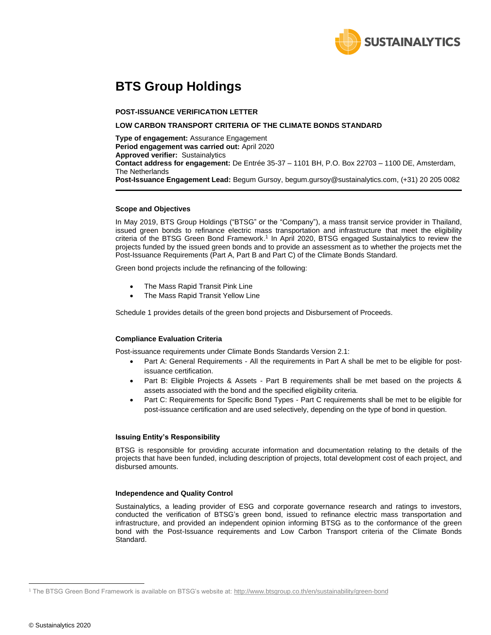

# **BTS Group Holdings**

#### **POST-ISSUANCE VERIFICATION LETTER**

#### **LOW CARBON TRANSPORT CRITERIA OF THE CLIMATE BONDS STANDARD**

**Type of engagement:** Assurance Engagement **Period engagement was carried out:** April 2020 **Approved verifier:** Sustainalytics **Contact address for engagement:** De Entrée 35-37 – 1101 BH, P.O. Box 22703 – 1100 DE, Amsterdam, The Netherlands **Post-Issuance Engagement Lead:** Begum Gursoy, begum.gursoy@sustainalytics.com, (+31) 20 205 0082

#### **Scope and Objectives**

In May 2019, BTS Group Holdings ("BTSG" or the "Company"), a mass transit service provider in Thailand, issued green bonds to refinance electric mass transportation and infrastructure that meet the eligibility criteria of the BTSG Green Bond Framework. 1 In April 2020, BTSG engaged Sustainalytics to review the projects funded by the issued green bonds and to provide an assessment as to whether the projects met the Post-Issuance Requirements (Part A, Part B and Part C) of the Climate Bonds Standard.

Green bond projects include the refinancing of the following:

- The Mass Rapid Transit Pink Line
- The Mass Rapid Transit Yellow Line

Schedule 1 provides details of the green bond projects and Disbursement of Proceeds.

#### **Compliance Evaluation Criteria**

Post-issuance requirements under Climate Bonds Standards Version 2.1:

- Part A: General Requirements All the requirements in Part A shall be met to be eligible for postissuance certification.
- Part B: Eligible Projects & Assets Part B requirements shall be met based on the projects & assets associated with the bond and the specified eligibility criteria.
- Part C: Requirements for Specific Bond Types Part C requirements shall be met to be eligible for post-issuance certification and are used selectively, depending on the type of bond in question.

#### **Issuing Entity's Responsibility**

BTSG is responsible for providing accurate information and documentation relating to the details of the projects that have been funded, including description of projects, total development cost of each project, and disbursed amounts.

#### **Independence and Quality Control**

Sustainalytics, a leading provider of ESG and corporate governance research and ratings to investors, conducted the verification of BTSG's green bond, issued to refinance electric mass transportation and infrastructure, and provided an independent opinion informing BTSG as to the conformance of the green bond with the Post-Issuance requirements and Low Carbon Transport criteria of the Climate Bonds Standard.

<sup>1</sup> The BTSG Green Bond Framework is available on BTSG's website at:<http://www.btsgroup.co.th/en/sustainability/green-bond>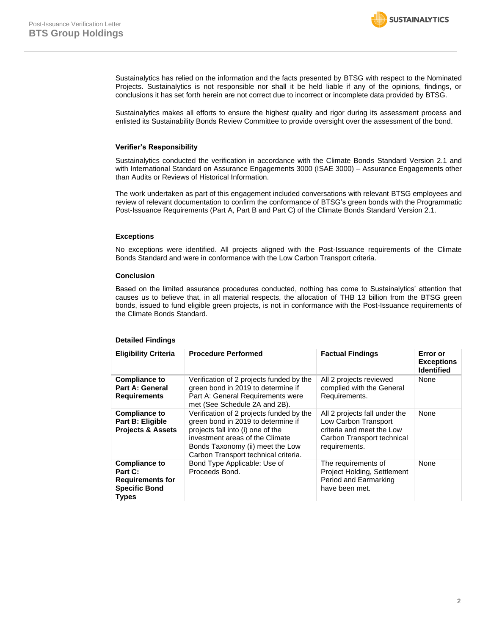

Sustainalytics has relied on the information and the facts presented by BTSG with respect to the Nominated Projects. Sustainalytics is not responsible nor shall it be held liable if any of the opinions, findings, or conclusions it has set forth herein are not correct due to incorrect or incomplete data provided by BTSG.

Sustainalytics makes all efforts to ensure the highest quality and rigor during its assessment process and enlisted its Sustainability Bonds Review Committee to provide oversight over the assessment of the bond.

#### **Verifier's Responsibility**

Sustainalytics conducted the verification in accordance with the Climate Bonds Standard Version 2.1 and with International Standard on Assurance Engagements 3000 (ISAE 3000) – Assurance Engagements other than Audits or Reviews of Historical Information.

The work undertaken as part of this engagement included conversations with relevant BTSG employees and review of relevant documentation to confirm the conformance of BTSG's green bonds with the Programmatic Post-Issuance Requirements (Part A, Part B and Part C) of the Climate Bonds Standard Version 2.1.

#### **Exceptions**

No exceptions were identified. All projects aligned with the Post-Issuance requirements of the Climate Bonds Standard and were in conformance with the Low Carbon Transport criteria.

#### **Conclusion**

Based on the limited assurance procedures conducted, nothing has come to Sustainalytics' attention that causes us to believe that, in all material respects, the allocation of THB 13 billion from the BTSG green bonds, issued to fund eligible green projects, is not in conformance with the Post-Issuance requirements of the Climate Bonds Standard.

| <b>Eligibility Criteria</b>                                                                        | <b>Procedure Performed</b>                                                                                                                                                                                                         | <b>Factual Findings</b>                                                                                                           | Error or<br><b>Exceptions</b><br><b>Identified</b> |
|----------------------------------------------------------------------------------------------------|------------------------------------------------------------------------------------------------------------------------------------------------------------------------------------------------------------------------------------|-----------------------------------------------------------------------------------------------------------------------------------|----------------------------------------------------|
| <b>Compliance to</b><br>Part A: General<br><b>Requirements</b>                                     | Verification of 2 projects funded by the<br>green bond in 2019 to determine if<br>Part A: General Requirements were<br>met (See Schedule 2A and 2B).                                                                               | All 2 projects reviewed<br>complied with the General<br>Requirements.                                                             | None                                               |
| <b>Compliance to</b><br>Part B: Eligible<br><b>Projects &amp; Assets</b>                           | Verification of 2 projects funded by the<br>green bond in 2019 to determine if<br>projects fall into (i) one of the<br>investment areas of the Climate<br>Bonds Taxonomy (ii) meet the Low<br>Carbon Transport technical criteria. | All 2 projects fall under the<br>Low Carbon Transport<br>criteria and meet the Low<br>Carbon Transport technical<br>requirements. | None                                               |
| <b>Compliance to</b><br>Part C:<br><b>Requirements for</b><br><b>Specific Bond</b><br><b>Types</b> | Bond Type Applicable: Use of<br>Proceeds Bond.                                                                                                                                                                                     | The requirements of<br>Project Holding, Settlement<br>Period and Earmarking<br>have been met.                                     | None                                               |

#### **Detailed Findings**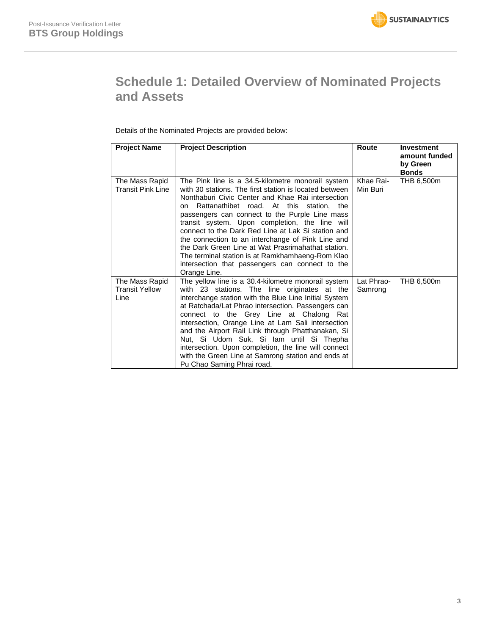# **Schedule 1: Detailed Overview of Nominated Projects and Assets**

Details of the Nominated Projects are provided below:

| <b>Project Name</b>                             | <b>Project Description</b>                                                                                                                                                                                                                                                                                                                                                                                                                                                                                                                                                                                     | Route                 | <b>Investment</b><br>amount funded<br>by Green<br><b>Bonds</b> |
|-------------------------------------------------|----------------------------------------------------------------------------------------------------------------------------------------------------------------------------------------------------------------------------------------------------------------------------------------------------------------------------------------------------------------------------------------------------------------------------------------------------------------------------------------------------------------------------------------------------------------------------------------------------------------|-----------------------|----------------------------------------------------------------|
| The Mass Rapid<br>Transit Pink Line             | The Pink line is a 34.5-kilometre monorail system<br>with 30 stations. The first station is located between<br>Nonthaburi Civic Center and Khae Rai intersection<br>Rattanathibet road. At this station, the<br>on<br>passengers can connect to the Purple Line mass<br>transit system. Upon completion, the line will<br>connect to the Dark Red Line at Lak Si station and<br>the connection to an interchange of Pink Line and<br>the Dark Green Line at Wat Prasrimahathat station.<br>The terminal station is at Ramkhamhaeng-Rom Klao<br>intersection that passengers can connect to the<br>Orange Line. | Khae Rai-<br>Min Buri | THB 6,500m                                                     |
| The Mass Rapid<br><b>Transit Yellow</b><br>Line | The yellow line is a 30.4-kilometre monorail system<br>with 23 stations. The line originates at the<br>interchange station with the Blue Line Initial System<br>at Ratchada/Lat Phrao intersection. Passengers can<br>connect to the Grey Line at Chalong Rat<br>intersection, Orange Line at Lam Sali intersection<br>and the Airport Rail Link through Phatthanakan, Si<br>Nut, Si Udom Suk, Si lam until Si Thepha<br>intersection. Upon completion, the line will connect<br>with the Green Line at Samrong station and ends at<br>Pu Chao Saming Phrai road.                                              | Lat Phrao-<br>Samrong | THB 6,500m                                                     |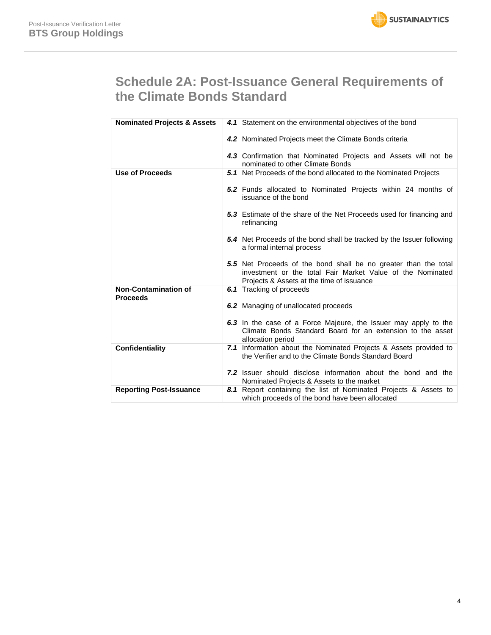# **Schedule 2A: Post-Issuance General Requirements of the Climate Bonds Standard**

| <b>Nominated Projects &amp; Assets</b>         | 4.1 Statement on the environmental objectives of the bond                                                                                                                  |  |
|------------------------------------------------|----------------------------------------------------------------------------------------------------------------------------------------------------------------------------|--|
|                                                | 4.2 Nominated Projects meet the Climate Bonds criteria                                                                                                                     |  |
|                                                | 4.3 Confirmation that Nominated Projects and Assets will not be<br>nominated to other Climate Bonds                                                                        |  |
| <b>Use of Proceeds</b>                         | 5.1 Net Proceeds of the bond allocated to the Nominated Projects                                                                                                           |  |
|                                                | 5.2 Funds allocated to Nominated Projects within 24 months of<br>issuance of the bond                                                                                      |  |
|                                                | <b>5.3</b> Estimate of the share of the Net Proceeds used for financing and<br>refinancing                                                                                 |  |
|                                                | 5.4 Net Proceeds of the bond shall be tracked by the Issuer following<br>a formal internal process                                                                         |  |
|                                                | 5.5 Net Proceeds of the bond shall be no greater than the total<br>investment or the total Fair Market Value of the Nominated<br>Projects & Assets at the time of issuance |  |
| <b>Non-Contamination of</b><br><b>Proceeds</b> | <b>6.1</b> Tracking of proceeds                                                                                                                                            |  |
|                                                | 6.2 Managing of unallocated proceeds                                                                                                                                       |  |
|                                                | 6.3 In the case of a Force Majeure, the Issuer may apply to the<br>Climate Bonds Standard Board for an extension to the asset<br>allocation period                         |  |
| <b>Confidentiality</b>                         | 7.1 Information about the Nominated Projects & Assets provided to<br>the Verifier and to the Climate Bonds Standard Board                                                  |  |
|                                                | <b>7.2</b> Issuer should disclose information about the bond and the<br>Nominated Projects & Assets to the market                                                          |  |
| <b>Reporting Post-Issuance</b>                 | 8.1 Report containing the list of Nominated Projects & Assets to<br>which proceeds of the bond have been allocated                                                         |  |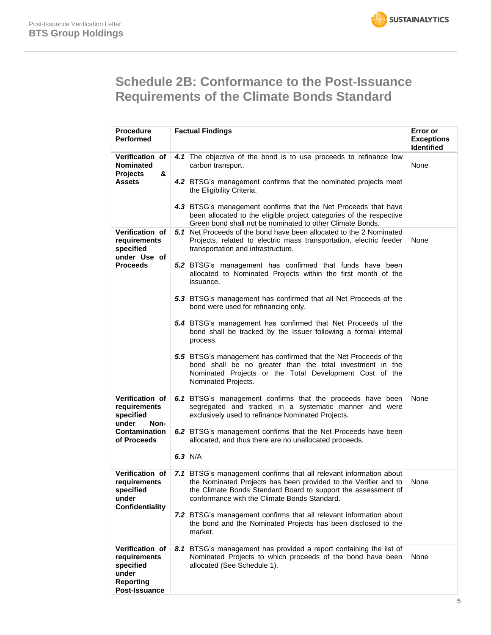# **Schedule 2B: Conformance to the Post-Issuance Requirements of the Climate Bonds Standard**

| <b>Procedure</b><br><b>Performed</b>                                                                 | <b>Factual Findings</b>                                                                                                                                                                                                                                                                                                                                                                                                                                                                                                                                                                                                                                                                                                                                                                                               | Error or<br><b>Exceptions</b><br><b>Identified</b> |
|------------------------------------------------------------------------------------------------------|-----------------------------------------------------------------------------------------------------------------------------------------------------------------------------------------------------------------------------------------------------------------------------------------------------------------------------------------------------------------------------------------------------------------------------------------------------------------------------------------------------------------------------------------------------------------------------------------------------------------------------------------------------------------------------------------------------------------------------------------------------------------------------------------------------------------------|----------------------------------------------------|
| Verification of<br><b>Nominated</b><br><b>Projects</b><br>&<br>Assets                                | 4.1 The objective of the bond is to use proceeds to refinance low<br>carbon transport.<br>4.2 BTSG's management confirms that the nominated projects meet<br>the Eligibility Criteria.<br>4.3 BTSG's management confirms that the Net Proceeds that have<br>been allocated to the eligible project categories of the respective<br>Green bond shall not be nominated to other Climate Bonds.                                                                                                                                                                                                                                                                                                                                                                                                                          | None                                               |
| <b>Verification of</b><br>requirements<br>specified<br>under Use of<br><b>Proceeds</b>               | <b>5.1</b> Net Proceeds of the bond have been allocated to the 2 Nominated<br>Projects, related to electric mass transportation, electric feeder<br>transportation and infrastructure.<br><b>5.2</b> BTSG's management has confirmed that funds have been<br>allocated to Nominated Projects within the first month of the<br>issuance.<br>5.3 BTSG's management has confirmed that all Net Proceeds of the<br>bond were used for refinancing only.<br>5.4 BTSG's management has confirmed that Net Proceeds of the<br>bond shall be tracked by the Issuer following a formal internal<br>process.<br>5.5 BTSG's management has confirmed that the Net Proceeds of the<br>bond shall be no greater than the total investment in the<br>Nominated Projects or the Total Development Cost of the<br>Nominated Projects. | None                                               |
| Verification of<br>requirements<br>specified<br>under<br>Non-<br><b>Contamination</b><br>of Proceeds | 6.1 BTSG's management confirms that the proceeds have been<br>segregated and tracked in a systematic manner and were<br>exclusively used to refinance Nominated Projects.<br>6.2 BTSG's management confirms that the Net Proceeds have been<br>allocated, and thus there are no unallocated proceeds.<br>6.3 N/A                                                                                                                                                                                                                                                                                                                                                                                                                                                                                                      | None                                               |
| Verification of<br>requirements<br>specified<br>under<br>Confidentiality                             | 7.1 BTSG's management confirms that all relevant information about<br>the Nominated Projects has been provided to the Verifier and to<br>the Climate Bonds Standard Board to support the assessment of<br>conformance with the Climate Bonds Standard.<br>7.2 BTSG's management confirms that all relevant information about<br>the bond and the Nominated Projects has been disclosed to the<br>market.                                                                                                                                                                                                                                                                                                                                                                                                              | None                                               |
| Verification of<br>requirements<br>specified<br>under<br><b>Reporting</b><br>Post-Issuance           | BTSG's management has provided a report containing the list of<br>8.1<br>Nominated Projects to which proceeds of the bond have been<br>allocated (See Schedule 1).                                                                                                                                                                                                                                                                                                                                                                                                                                                                                                                                                                                                                                                    | None                                               |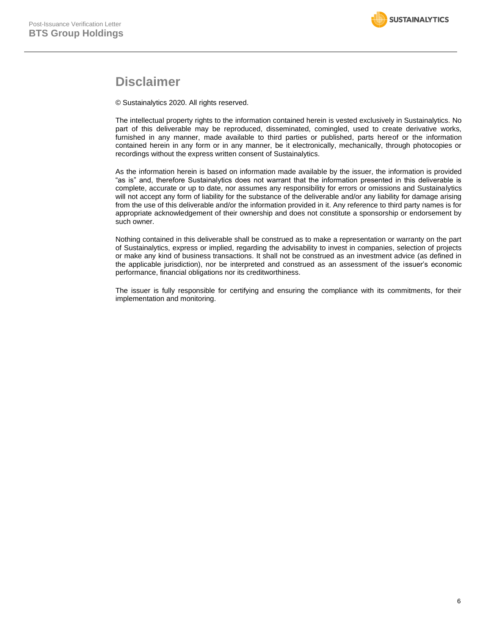### **Disclaimer**

© Sustainalytics 2020. All rights reserved.

The intellectual property rights to the information contained herein is vested exclusively in Sustainalytics. No part of this deliverable may be reproduced, disseminated, comingled, used to create derivative works, furnished in any manner, made available to third parties or published, parts hereof or the information contained herein in any form or in any manner, be it electronically, mechanically, through photocopies or recordings without the express written consent of Sustainalytics.

As the information herein is based on information made available by the issuer, the information is provided "as is" and, therefore Sustainalytics does not warrant that the information presented in this deliverable is complete, accurate or up to date, nor assumes any responsibility for errors or omissions and Sustainalytics will not accept any form of liability for the substance of the deliverable and/or any liability for damage arising from the use of this deliverable and/or the information provided in it. Any reference to third party names is for appropriate acknowledgement of their ownership and does not constitute a sponsorship or endorsement by such owner.

Nothing contained in this deliverable shall be construed as to make a representation or warranty on the part of Sustainalytics, express or implied, regarding the advisability to invest in companies, selection of projects or make any kind of business transactions. It shall not be construed as an investment advice (as defined in the applicable jurisdiction), nor be interpreted and construed as an assessment of the issuer's economic performance, financial obligations nor its creditworthiness.

The issuer is fully responsible for certifying and ensuring the compliance with its commitments, for their implementation and monitoring.